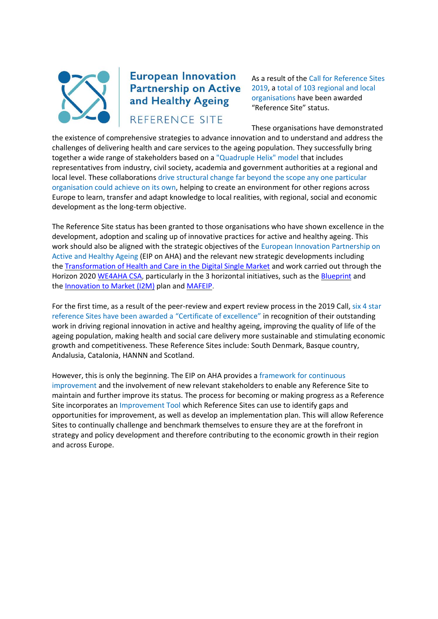

## **European Innovation Partnership on Active** and Healthy Ageing

REFERENCE SITE

As a result of the Call for Reference Sites 2019, a total of 103 regional and local organisations have been awarded "Reference Site" status.

These organisations have demonstrated

the existence of comprehensive strategies to advance innovation and to understand and address the challenges of delivering health and care services to the ageing population. They successfully bring together a wide range of stakeholders based on a "Quadruple Helix" model that includes representatives from industry, civil society, academia and government authorities at a regional and local level. These collaborations drive structural change far beyond the scope any one particular organisation could achieve on its own, helping to create an environment for other regions across Europe to learn, transfer and adapt knowledge to local realities, with regional, social and economic development as the long-term objective.

The Reference Site status has been granted to those organisations who have shown excellence in the development, adoption and scaling up of innovative practices for active and healthy ageing. This work should also be aligned with the strategic objectives of the European Innovation Partnership on Active and Healthy Ageing (EIP on AHA) and the relevant new strategic developments including the [Transformation of Health and Care in the Digital Single Market](https://ec.europa.eu/digital-single-market/en/news/transformation-health-and-care-digital-single-market-gaining-more-support) and work carried out through the Horizon 2020 [WE4AHA CSA,](https://ec.europa.eu/eip/ageing/home_en) particularly in the 3 horizontal initiatives, such as the [Blueprint](https://ec.europa.eu/digital-single-market/en/news/blueprint-innovate-health-and-care-europe) and the [Innovation to Market \(I2M\)](https://ec.europa.eu/eip/ageing/innovation-market-i2m_en) plan and [MAFEIP.](http://mafeip.eu/)

For the first time, as a result of the peer-review and expert review process in the 2019 Call, six 4 star reference Sites have been awarded a "Certificate of excellence" in recognition of their outstanding work in driving regional innovation in active and healthy ageing, improving the quality of life of the ageing population, making health and social care delivery more sustainable and stimulating economic growth and competitiveness. These Reference Sites include: South Denmark, Basque country, Andalusia, Catalonia, HANNN and Scotland.

However, this is only the beginning. The EIP on AHA provides a framework for continuous improvement and the involvement of new relevant stakeholders to enable any Reference Site to maintain and further improve its status. The process for becoming or making progress as a Reference Site incorporates an Improvement Tool which Reference Sites can use to identify gaps and opportunities for improvement, as well as develop an implementation plan. This will allow Reference Sites to continually challenge and benchmark themselves to ensure they are at the forefront in strategy and policy development and therefore contributing to the economic growth in their region and across Europe.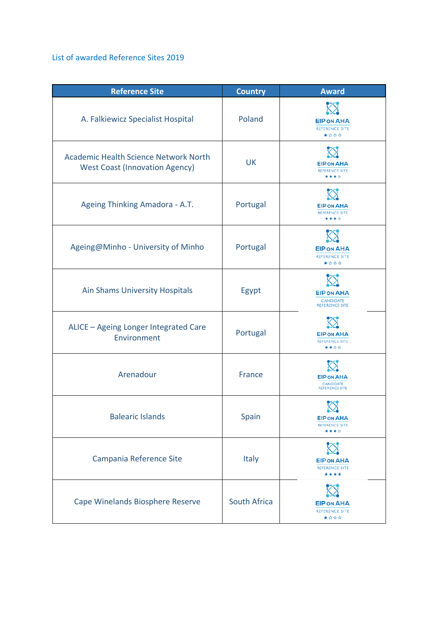## List of awarded Reference Sites 2019

| <b>Reference Site</b>                                                                 | <b>Country</b> | <b>Award</b>                                                   |
|---------------------------------------------------------------------------------------|----------------|----------------------------------------------------------------|
| A. Falkiewicz Specialist Hospital                                                     | Poland         | <b>EIP ON AHA</b><br>REFERENCE SITE<br>★☆☆☆                    |
| <b>Academic Health Science Network North</b><br><b>West Coast (Innovation Agency)</b> | UK             | <b>EIP ON AHA</b><br><b>REFERENCE SITE</b><br>****             |
| Ageing Thinking Amadora - A.T.                                                        | Portugal       | <b>EIP ON AHA</b><br><b>REFERENCE SITE</b><br>****             |
| Ageing@Minho - University of Minho                                                    | Portugal       | <b>EIP ON AHA</b><br><b>REFERENCE SITE</b><br>★☆☆☆             |
| <b>Ain Shams University Hospitals</b>                                                 | Egypt          | <b>EIP ON AHA</b><br><b>CANDIDATE</b><br><b>REFERENCE SITE</b> |
| ALICE - Ageing Longer Integrated Care<br>Environment                                  | Portugal       | <b>EIP ON AHA</b><br><b>REFERENCE SITE</b><br>****             |
| Arenadour                                                                             | <b>France</b>  | <b>EIP ON AHA</b><br><b>CANDIDATE</b><br><b>REFERENCE SITE</b> |
| <b>Balearic Islands</b>                                                               | Spain          | <b>EIP ON AHA</b><br><b>REFERENCE SITE</b><br>****             |
| Campania Reference Site                                                               | Italy          | <b>EIP ON AHA</b><br><b>REFERENCE SITE</b><br>****             |
| Cape Winelands Biosphere Reserve                                                      | South Africa   | <b>EIP ON AHA</b><br><b>REFERENCE SITE</b><br>★☆☆☆             |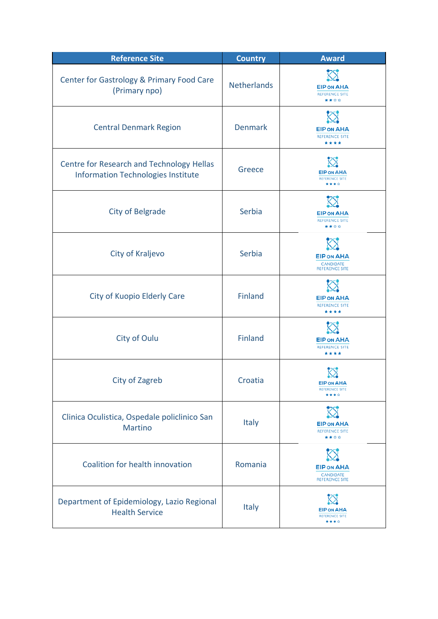| <b>Reference Site</b>                                                                         | <b>Country</b>     | <b>Award</b>                                                   |
|-----------------------------------------------------------------------------------------------|--------------------|----------------------------------------------------------------|
| Center for Gastrology & Primary Food Care<br>(Primary npo)                                    | <b>Netherlands</b> | <b>EIP ON AHA</b><br><b>REFERENCE SITE</b><br>****             |
| <b>Central Denmark Region</b>                                                                 | <b>Denmark</b>     | <b>EIP ON AHA</b><br><b>REFERENCE SITE</b><br>****             |
| <b>Centre for Research and Technology Hellas</b><br><b>Information Technologies Institute</b> | Greece             | <b>EIP ON AHA</b><br><b>REFERENCE SITE</b><br>****             |
| <b>City of Belgrade</b>                                                                       | Serbia             | <b>EIP ON AHA</b><br><b>REFERENCE SITE</b><br>****             |
| City of Kraljevo                                                                              | Serbia             | <b>EIP ON AHA</b><br><b>CANDIDATE</b><br><b>REFERENCE SITE</b> |
| City of Kuopio Elderly Care                                                                   | <b>Finland</b>     | <b>EIP ON AHA</b><br><b>REFERENCE SITE</b><br>****             |
| City of Oulu                                                                                  | <b>Finland</b>     | <b>EIP ON AHA</b><br><b>REFERENCE SITE</b><br>****             |
| City of Zagreb                                                                                | Croatia            | <b>EIP ON AHA</b><br><b>REFERENCE SITE</b><br>****             |
| Clinica Oculistica, Ospedale policlinico San<br><b>Martino</b>                                | <b>Italy</b>       | <b>EIP ON AHA</b><br><b>REFERENCE SITE</b><br>****             |
| Coalition for health innovation                                                               | Romania            | <b>EIP ON AHA</b><br><b>CANDIDATE</b><br><b>REFERENCE SITE</b> |
| Department of Epidemiology, Lazio Regional<br><b>Health Service</b>                           | Italy              | <b>EIP ON AHA</b><br><b>REFERENCE SITE</b><br>****             |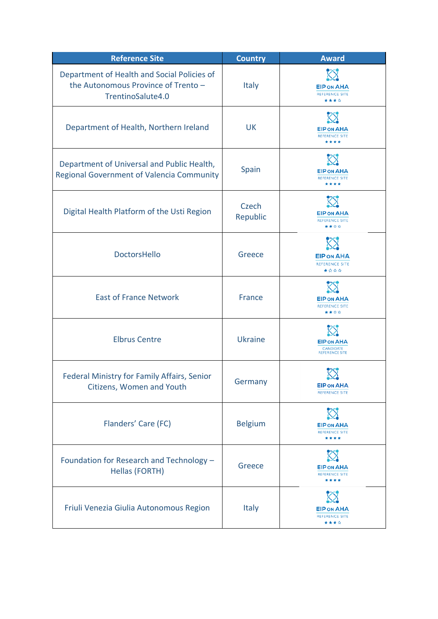| <b>Reference Site</b>                                                                                   | <b>Country</b>    | <b>Award</b>                                                   |
|---------------------------------------------------------------------------------------------------------|-------------------|----------------------------------------------------------------|
| Department of Health and Social Policies of<br>the Autonomous Province of Trento -<br>TrentinoSalute4.0 | <b>Italy</b>      | <b>EIP ON AHA</b><br><b>REFERENCE SITE</b><br>****             |
| Department of Health, Northern Ireland                                                                  | <b>UK</b>         | <b>EIP ON AHA</b><br><b>REFERENCE SITE</b><br>****             |
| Department of Universal and Public Health,<br><b>Regional Government of Valencia Community</b>          | Spain             | <b>EIP ON AHA</b><br><b>REFERENCE SITE</b><br>****             |
| Digital Health Platform of the Usti Region                                                              | Czech<br>Republic | <b>EIP ON AHA</b><br><b>REFERENCE SITE</b><br>★★☆☆             |
| <b>DoctorsHello</b>                                                                                     | Greece            | <b>EIP ON AHA</b><br><b>REFERENCE SITE</b><br>★☆☆☆             |
| <b>East of France Network</b>                                                                           | France            | <b>EIP ON AHA</b><br><b>REFERENCE SITE</b><br>****             |
| <b>Elbrus Centre</b>                                                                                    | <b>Ukraine</b>    | <b>EIP ON AHA</b><br><b>CANDIDATE</b><br><b>REFERENCE SITE</b> |
| Federal Ministry for Family Affairs, Senior<br>Citizens, Women and Youth                                | Germany           | <b>EIP ON AHA</b><br><b>REFERENCE SITE</b>                     |
| Flanders' Care (FC)                                                                                     | <b>Belgium</b>    | <b>EIP ON AHA</b><br><b>REFERENCE SITE</b><br>****             |
| Foundation for Research and Technology -<br>Hellas (FORTH)                                              | Greece            | <b>EIP ON AHA</b><br><b>REFERENCE SITE</b><br>****             |
| Friuli Venezia Giulia Autonomous Region                                                                 | Italy             | <b>EIP ON AHA</b><br><b>REFERENCE SITE</b><br>****             |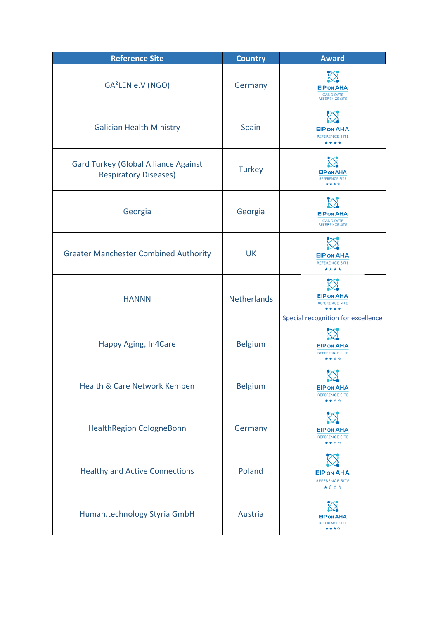| <b>Reference Site</b>                                                       | <b>Country</b>     | <b>Award</b>                                                                             |
|-----------------------------------------------------------------------------|--------------------|------------------------------------------------------------------------------------------|
| GA <sup>2</sup> LEN e.V (NGO)                                               | Germany            | <b>EIP ON AHA</b><br><b>CANDIDATE</b><br><b>REFERENCE SITE</b>                           |
| <b>Galician Health Ministry</b>                                             | Spain              | <b>EIP ON AHA</b><br><b>REFERENCE SITE</b><br>****                                       |
| <b>Gard Turkey (Global Alliance Against</b><br><b>Respiratory Diseases)</b> | <b>Turkey</b>      | <b>EIP ON AHA</b><br><b>REFERENCE SITE</b><br>****                                       |
| Georgia                                                                     | Georgia            | <b>EIP ON AHA</b><br><b>CANDIDATE</b><br><b>REFERENCE SITE</b>                           |
| <b>Greater Manchester Combined Authority</b>                                | <b>UK</b>          | <b>EIP ON AHA</b><br><b>REFERENCE SITE</b><br>****                                       |
| <b>HANNN</b>                                                                | <b>Netherlands</b> | <b>EIP ON AHA</b><br><b>REFERENCE SITE</b><br>****<br>Special recognition for excellence |
| Happy Aging, In4Care                                                        | <b>Belgium</b>     | <b>EIP ON AHA</b><br><b>REFERENCE SITE</b><br>★★☆☆                                       |
| Health & Care Network Kempen                                                | <b>Belgium</b>     | ---<br><b>EIP ON AHA</b><br><b>REFERENCE SITE</b><br>****                                |
| <b>HealthRegion CologneBonn</b>                                             | Germany            | <b>EIP ON AHA</b><br><b>REFERENCE SITE</b><br>****                                       |
| <b>Healthy and Active Connections</b>                                       | Poland             | <b>EIP ON AHA</b><br>REFERENCE SITE<br>★☆☆☆                                              |
| Human.technology Styria GmbH                                                | Austria            | <b>EIP ON AHA</b><br><b>REFERENCE SITE</b><br>****                                       |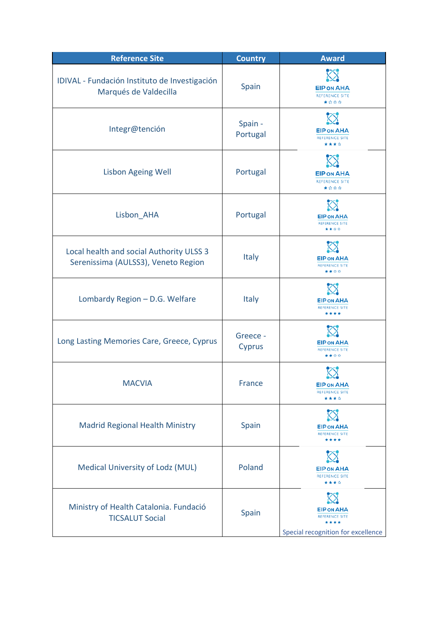| <b>Reference Site</b>                                                           | <b>Country</b>      | <b>Award</b>                                                                             |
|---------------------------------------------------------------------------------|---------------------|------------------------------------------------------------------------------------------|
| IDIVAL - Fundación Instituto de Investigación<br>Marqués de Valdecilla          | Spain               | <b>EIP ON AHA</b><br><b>REFERENCE SITE</b><br>★☆☆☆                                       |
| Integr@tención                                                                  | Spain -<br>Portugal | <b>EIP ON AHA</b><br><b>REFERENCE SITE</b><br>****                                       |
| <b>Lisbon Ageing Well</b>                                                       | Portugal            | <b>EIP ON AHA</b><br><b>REFERENCE SITE</b><br>★☆☆☆                                       |
| Lisbon AHA                                                                      | Portugal            | <b>EIP ON AHA</b><br><b>REFERENCE SITE</b><br>****                                       |
| Local health and social Authority ULSS 3<br>Serenissima (AULSS3), Veneto Region | Italy               | <b>EIP ON AHA</b><br><b>REFERENCE SITE</b><br>****                                       |
| Lombardy Region - D.G. Welfare                                                  | <b>Italy</b>        | <b>EIP ON AHA</b><br><b>REFERENCE SITE</b><br>****                                       |
| Long Lasting Memories Care, Greece, Cyprus                                      | Greece -<br>Cyprus  | <b>EIP ON AHA</b><br><b>REFERENCE SITE</b><br>****                                       |
| <b>MACVIA</b>                                                                   | <b>France</b>       | <b>EIP ON AHA</b><br><b>REFERENCE SITE</b><br>* * * *                                    |
| <b>Madrid Regional Health Ministry</b>                                          | Spain               | <b>EIP ON AHA</b><br><b>REFERENCE SITE</b><br>****                                       |
| Medical University of Lodz (MUL)                                                | Poland              | <b>EIP ON AHA</b><br><b>REFERENCE SITE</b><br>****                                       |
| Ministry of Health Catalonia. Fundació<br><b>TICSALUT Social</b>                | Spain               | <b>EIP ON AHA</b><br><b>REFERENCE SITE</b><br>****<br>Special recognition for excellence |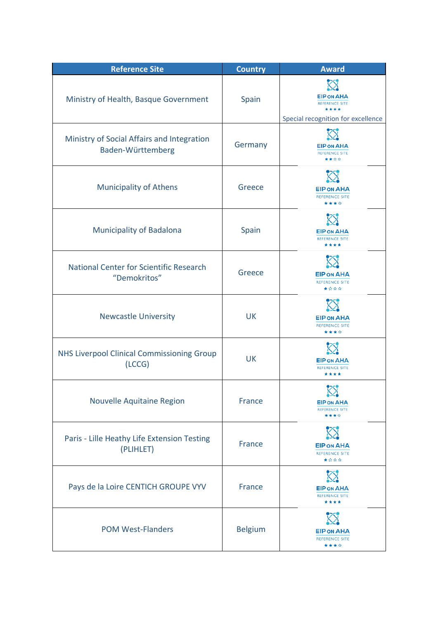| <b>Reference Site</b>                                           | <b>Country</b> | <b>Award</b>                                                                             |
|-----------------------------------------------------------------|----------------|------------------------------------------------------------------------------------------|
| Ministry of Health, Basque Government                           | Spain          | <b>EIP ON AHA</b><br><b>REFERENCE SITE</b><br>****<br>Special recognition for excellence |
| Ministry of Social Affairs and Integration<br>Baden-Württemberg | Germany        | <b>EIP ON AHA</b><br><b>REFERENCE SITE</b><br>****                                       |
| <b>Municipality of Athens</b>                                   | Greece         | <b>EIP ON AHA</b><br><b>REFERENCE SITE</b><br>****                                       |
| <b>Municipality of Badalona</b>                                 | Spain          | <b>EIP ON AHA</b><br><b>REFERENCE SITE</b><br>****                                       |
| <b>National Center for Scientific Research</b><br>"Demokritos"  | Greece         | <b>EIP ON AHA</b><br><b>REFERENCE SITE</b><br>★☆☆☆                                       |
| <b>Newcastle University</b>                                     | <b>UK</b>      | <b>EIP ON AHA</b><br><b>REFERENCE SITE</b><br>****                                       |
| <b>NHS Liverpool Clinical Commissioning Group</b><br>(LCCG)     | <b>UK</b>      | <b>EIP ON AHA</b><br><b>REFERENCE SITE</b><br>****                                       |
| Nouvelle Aquitaine Region                                       | France         | ?<br>$\mathbf{\Omega}$<br><b>EIP ON AHA</b><br><b>REFERENCE SITE</b><br>****             |
| Paris - Lille Heathy Life Extension Testing<br>(PLIHLET)        | France         | <b>EIP ON AHA</b><br><b>REFERENCE SITE</b><br>****                                       |
| Pays de la Loire CENTICH GROUPE VYV                             | <b>France</b>  | <b>EIP ON AHA</b><br><b>REFERENCE SITE</b><br>****                                       |
| <b>POM West-Flanders</b>                                        | <b>Belgium</b> | <b>EIP ON AHA</b><br><b>REFERENCE SITE</b><br>****                                       |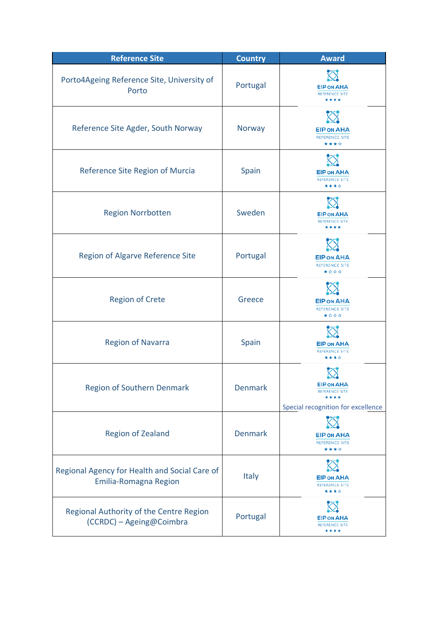| <b>Reference Site</b>                                                  | <b>Country</b> | <b>Award</b>                                                                     |
|------------------------------------------------------------------------|----------------|----------------------------------------------------------------------------------|
| Porto4Ageing Reference Site, University of<br>Porto                    | Portugal       | <b>EIP ON AHA</b><br><b>REFERENCE SITE</b><br>****                               |
| Reference Site Agder, South Norway                                     | Norway         | <b>EIP ON AHA</b><br><b>REFERENCE SITE</b><br>****                               |
| Reference Site Region of Murcia                                        | Spain          | <b>EIP ON AHA</b><br><b>REFERENCE SITE</b><br>****                               |
| <b>Region Norrbotten</b>                                               | Sweden         | <b>EIP ON AHA</b><br><b>REFERENCE SITE</b><br>****                               |
| Region of Algarve Reference Site                                       | Portugal       | <b>EIP ON AHA</b><br><b>REFERENCE SITE</b><br>★☆☆☆                               |
| <b>Region of Crete</b>                                                 | Greece         | <b>EIP ON AHA</b><br><b>REFERENCE SITE</b><br>★☆☆☆                               |
| <b>Region of Navarra</b>                                               | Spain          | <b>EIP ON AHA</b><br><b>REFERENCE SITE</b><br>****                               |
| <b>Region of Southern Denmark</b>                                      | <b>Denmark</b> | <b>EIP ON AHA</b><br><b>REFERENCE SITE</b><br>Special recognition for excellence |
| <b>Region of Zealand</b>                                               | <b>Denmark</b> | <b>EIP ON AHA</b><br><b>REFERENCE SITE</b><br>****                               |
| Regional Agency for Health and Social Care of<br>Emilia-Romagna Region | <b>Italy</b>   | <b>EIP ON AHA</b><br><b>REFERENCE SITE</b><br>****                               |
| Regional Authority of the Centre Region<br>(CCRDC) - Ageing@Coimbra    | Portugal       | <b>EIP ON AHA</b><br><b>REFERENCE SITE</b><br>****                               |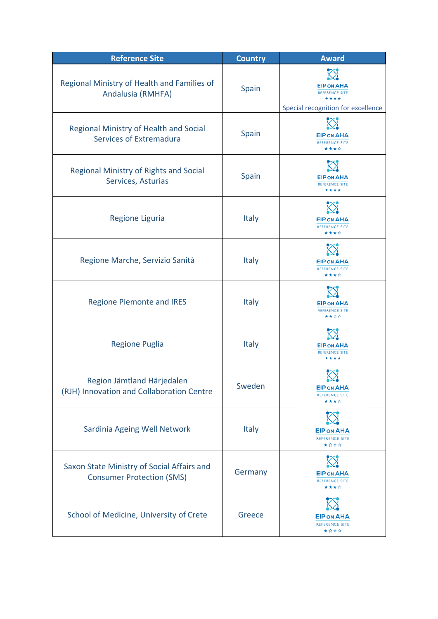| <b>Reference Site</b>                                                          | <b>Country</b> | <b>Award</b>                                                                             |
|--------------------------------------------------------------------------------|----------------|------------------------------------------------------------------------------------------|
| Regional Ministry of Health and Families of<br>Andalusia (RMHFA)               | Spain          | <b>EIP ON AHA</b><br><b>REFERENCE SITE</b><br>****<br>Special recognition for excellence |
| Regional Ministry of Health and Social<br>Services of Extremadura              | Spain          | <b>EIP ON AHA</b><br><b>REFERENCE SITE</b><br>****                                       |
| <b>Regional Ministry of Rights and Social</b><br>Services, Asturias            | Spain          | <b>EIP ON AHA</b><br><b>REFERENCE SITE</b><br>****                                       |
| <b>Regione Liguria</b>                                                         | <b>Italy</b>   | <b>EIP ON AHA</b><br><b>REFERENCE SITE</b><br>****                                       |
| Regione Marche, Servizio Sanità                                                | Italy          | <b>EIP ON AHA</b><br><b>REFERENCE SITE</b><br>****                                       |
| <b>Regione Piemonte and IRES</b>                                               | <b>Italy</b>   | <b>EIP ON AHA</b><br><b>REFERENCE SITE</b><br>★★☆☆                                       |
| <b>Regione Puglia</b>                                                          | <b>Italy</b>   | <b>EIP ON AHA</b><br><b>REFERENCE SITE</b><br>****                                       |
| Region Jämtland Härjedalen<br>(RJH) Innovation and Collaboration Centre        | Sweden         | <b>EIP ON AHA</b><br><b>REFERENCE SITE</b><br>****                                       |
| Sardinia Ageing Well Network                                                   | Italy          | <b>EIP ON AHA</b><br><b>REFERENCE SITE</b><br>★☆☆☆                                       |
| Saxon State Ministry of Social Affairs and<br><b>Consumer Protection (SMS)</b> | Germany        | <b>EIP ON AHA</b><br><b>REFERENCE SITE</b><br>****                                       |
| School of Medicine, University of Crete                                        | Greece         | <b>EIP ON AHA</b><br><b>REFERENCE SITE</b><br>★☆☆☆                                       |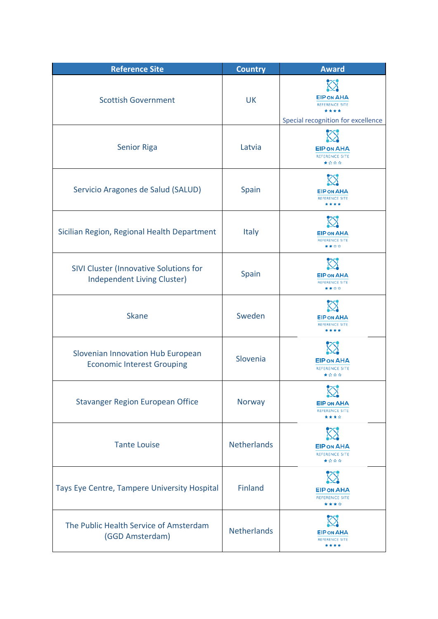| <b>Reference Site</b>                                                        | <b>Country</b>     | <b>Award</b>                                                                             |
|------------------------------------------------------------------------------|--------------------|------------------------------------------------------------------------------------------|
| <b>Scottish Government</b>                                                   | <b>UK</b>          | <b>EIP ON AHA</b><br><b>REFERENCE SITE</b><br>****<br>Special recognition for excellence |
| <b>Senior Riga</b>                                                           | Latvia             | <b>EIP ON AHA</b><br><b>REFERENCE SITE</b><br>★☆☆☆                                       |
| Servicio Aragones de Salud (SALUD)                                           | Spain              | <b>EIP ON AHA</b><br><b>REFERENCE SITE</b><br>****                                       |
| Sicilian Region, Regional Health Department                                  | <b>Italy</b>       | <b>EIP ON AHA</b><br><b>REFERENCE SITE</b><br>****                                       |
| SIVI Cluster (Innovative Solutions for<br><b>Independent Living Cluster)</b> | Spain              | <b>EIP ON AHA</b><br><b>REFERENCE SITE</b><br>****                                       |
| <b>Skane</b>                                                                 | Sweden             | <b>EIP ON AHA</b><br><b>REFERENCE SITE</b><br>****                                       |
| Slovenian Innovation Hub European<br><b>Economic Interest Grouping</b>       | Slovenia           | <b>EIP ON AHA</b><br><b>REFERENCE SITE</b><br>★☆☆☆                                       |
| <b>Stavanger Region European Office</b>                                      | Norway             | $\infty$<br><b>EIP ON AHA</b><br><b>REFERENCE SITE</b><br>****                           |
| <b>Tante Louise</b>                                                          | <b>Netherlands</b> | <b>EIP ON AHA</b><br><b>REFERENCE SITE</b><br>★☆☆☆                                       |
| Tays Eye Centre, Tampere University Hospital                                 | Finland            | <b>EIP ON AHA</b><br><b>REFERENCE SITE</b><br>****                                       |
| The Public Health Service of Amsterdam<br>(GGD Amsterdam)                    | <b>Netherlands</b> | <b>EIP ON AHA</b><br><b>REFERENCE SITE</b><br>****                                       |